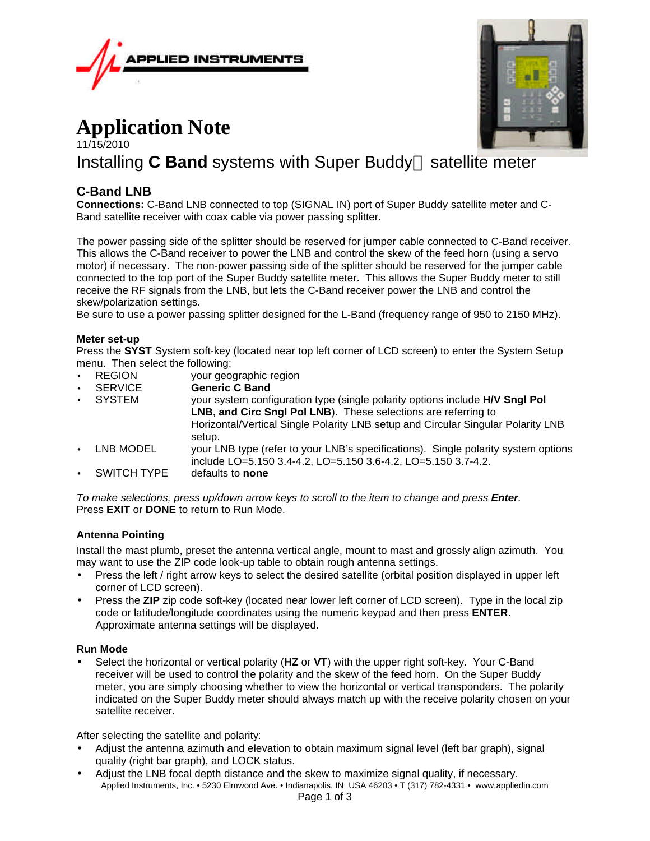



# **Application Note**

# 11/15/2010 Installing  $C$  **Band** systems with Super Buddy<sup> $M$ </sup> satellite meter

## **C-Band LNB**

**Connections:** C-Band LNB connected to top (SIGNAL IN) port of Super Buddy satellite meter and C-Band satellite receiver with coax cable via power passing splitter.

The power passing side of the splitter should be reserved for jumper cable connected to C-Band receiver. This allows the C-Band receiver to power the LNB and control the skew of the feed horn (using a servo motor) if necessary. The non-power passing side of the splitter should be reserved for the jumper cable connected to the top port of the Super Buddy satellite meter. This allows the Super Buddy meter to still receive the RF signals from the LNB, but lets the C-Band receiver power the LNB and control the skew/polarization settings.

Be sure to use a power passing splitter designed for the L-Band (frequency range of 950 to 2150 MHz).

#### **Meter set-up**

Press the **SYST** System soft-key (located near top left corner of LCD screen) to enter the System Setup menu. Then select the following:

- REGION vour geographic region
- **SERVICE Generic C Band**
- SYSTEM your system configuration type (single polarity options include **H/V Sngl Pol LNB, and Circ Sngl Pol LNB**). These selections are referring to Horizontal/Vertical Single Polarity LNB setup and Circular Singular Polarity LNB setup. LNB MODEL vour LNB type (refer to your LNB's specifications). Single polarity system options include LO=5.150 3.4-4.2, LO=5.150 3.6-4.2, LO=5.150 3.7-4.2.
- SWITCH TYPE defaults to **none**

*To make selections, press up/down arrow keys to scroll to the item to change and press Enter.* Press **EXIT** or **DONE** to return to Run Mode.

#### **Antenna Pointing**

Install the mast plumb, preset the antenna vertical angle, mount to mast and grossly align azimuth. You may want to use the ZIP code look-up table to obtain rough antenna settings.

- Press the left / right arrow keys to select the desired satellite (orbital position displayed in upper left corner of LCD screen).
- Press the **ZIP** zip code soft-key (located near lower left corner of LCD screen). Type in the local zip code or latitude/longitude coordinates using the numeric keypad and then press **ENTER**. Approximate antenna settings will be displayed.

#### **Run Mode**

• Select the horizontal or vertical polarity (**HZ** or **VT**) with the upper right soft-key. Your C-Band receiver will be used to control the polarity and the skew of the feed horn. On the Super Buddy meter, you are simply choosing whether to view the horizontal or vertical transponders. The polarity indicated on the Super Buddy meter should always match up with the receive polarity chosen on your satellite receiver.

After selecting the satellite and polarity:

- Adjust the antenna azimuth and elevation to obtain maximum signal level (left bar graph), signal quality (right bar graph), and LOCK status.
- Applied Instruments, Inc. 5230 Elmwood Ave. Indianapolis, IN USA 46203 T (317) 782-4331 www.appliedin.com • Adjust the LNB focal depth distance and the skew to maximize signal quality, if necessary.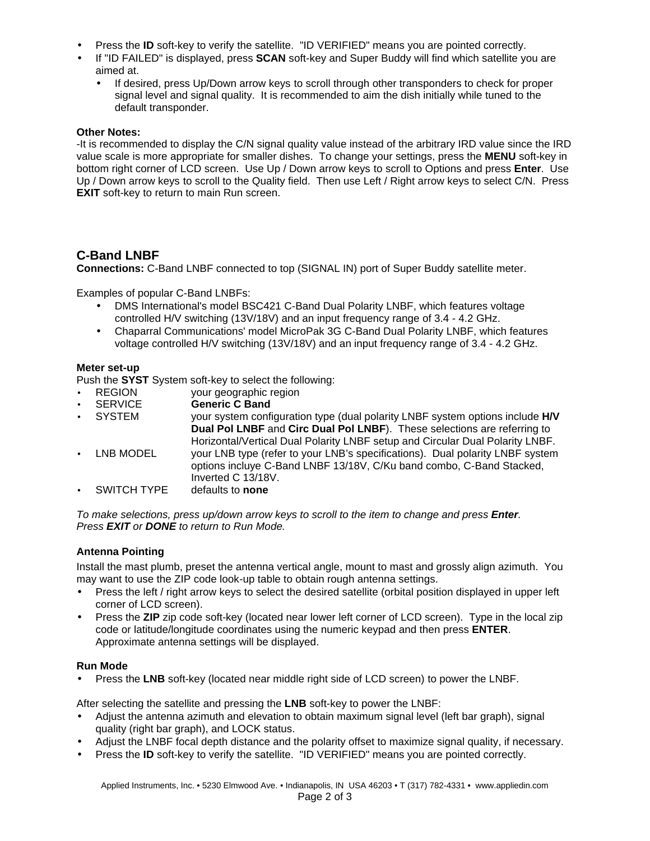- Press the **ID** soft-key to verify the satellite. "ID VERIFIED" means you are pointed correctly.
- If "ID FAILED" is displayed, press **SCAN** soft-key and Super Buddy will find which satellite you are aimed at.
	- If desired, press Up/Down arrow keys to scroll through other transponders to check for proper signal level and signal quality. It is recommended to aim the dish initially while tuned to the default transponder.

#### **Other Notes:**

-It is recommended to display the C/N signal quality value instead of the arbitrary IRD value since the IRD value scale is more appropriate for smaller dishes. To change your settings, press the **MENU** soft-key in bottom right corner of LCD screen. Use Up / Down arrow keys to scroll to Options and press **Enter**. Use Up / Down arrow keys to scroll to the Quality field. Then use Left / Right arrow keys to select C/N. Press **EXIT** soft-key to return to main Run screen.

## **C-Band LNBF**

**Connections:** C-Band LNBF connected to top (SIGNAL IN) port of Super Buddy satellite meter.

Examples of popular C-Band LNBFs:

- DMS International's model BSC421 C-Band Dual Polarity LNBF, which features voltage controlled H/V switching (13V/18V) and an input frequency range of 3.4 - 4.2 GHz.
- Chaparral Communications' model MicroPak 3G C-Band Dual Polarity LNBF, which features voltage controlled H/V switching (13V/18V) and an input frequency range of 3.4 - 4.2 GHz.

#### **Meter set-up**

Push the **SYST** System soft-key to select the following:

- REGION your geographic region
- **SERVICE Generic C Band**
- SYSTEM your system configuration type (dual polarity LNBF system options include **H/V Dual Pol LNBF** and **Circ Dual Pol LNBF**). These selections are referring to Horizontal/Vertical Dual Polarity LNBF setup and Circular Dual Polarity LNBF. LNB MODEL your LNB type (refer to your LNB's specifications). Dual polarity LNBF system options incluye C-Band LNBF 13/18V, C/Ku band combo, C-Band Stacked, Inverted C 13/18V.<br>defaults to **none**
- **SWITCH TYPE**

*To make selections, press up/down arrow keys to scroll to the item to change and press Enter. Press EXIT or DONE to return to Run Mode.*

#### **Antenna Pointing**

Install the mast plumb, preset the antenna vertical angle, mount to mast and grossly align azimuth. You may want to use the ZIP code look-up table to obtain rough antenna settings.

- Press the left / right arrow keys to select the desired satellite (orbital position displayed in upper left corner of LCD screen).
- Press the **ZIP** zip code soft-key (located near lower left corner of LCD screen). Type in the local zip code or latitude/longitude coordinates using the numeric keypad and then press **ENTER**. Approximate antenna settings will be displayed.

#### **Run Mode**

• Press the **LNB** soft-key (located near middle right side of LCD screen) to power the LNBF.

After selecting the satellite and pressing the **LNB** soft-key to power the LNBF:

- Adjust the antenna azimuth and elevation to obtain maximum signal level (left bar graph), signal quality (right bar graph), and LOCK status.
- Adjust the LNBF focal depth distance and the polarity offset to maximize signal quality, if necessary.
- Press the **ID** soft-key to verify the satellite. "ID VERIFIED" means you are pointed correctly.